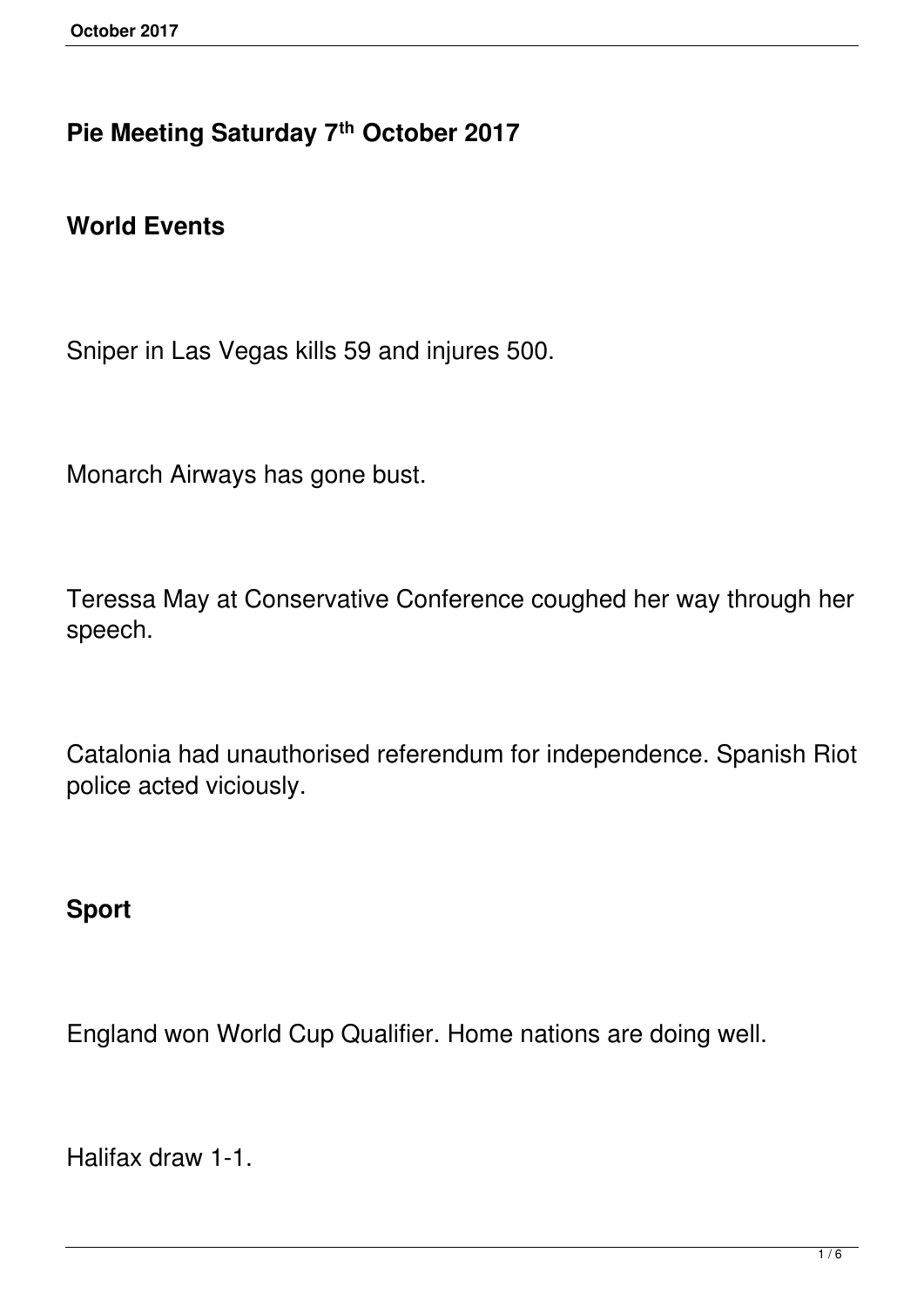#### **Pie Meeting Saturday 7th October 2017**

#### **World Events**

Sniper in Las Vegas kills 59 and injures 500.

Monarch Airways has gone bust.

Teressa May at Conservative Conference coughed her way through her speech.

Catalonia had unauthorised referendum for independence. Spanish Riot police acted viciously.

#### **Sport**

England won World Cup Qualifier. Home nations are doing well.

Halifax draw 1-1.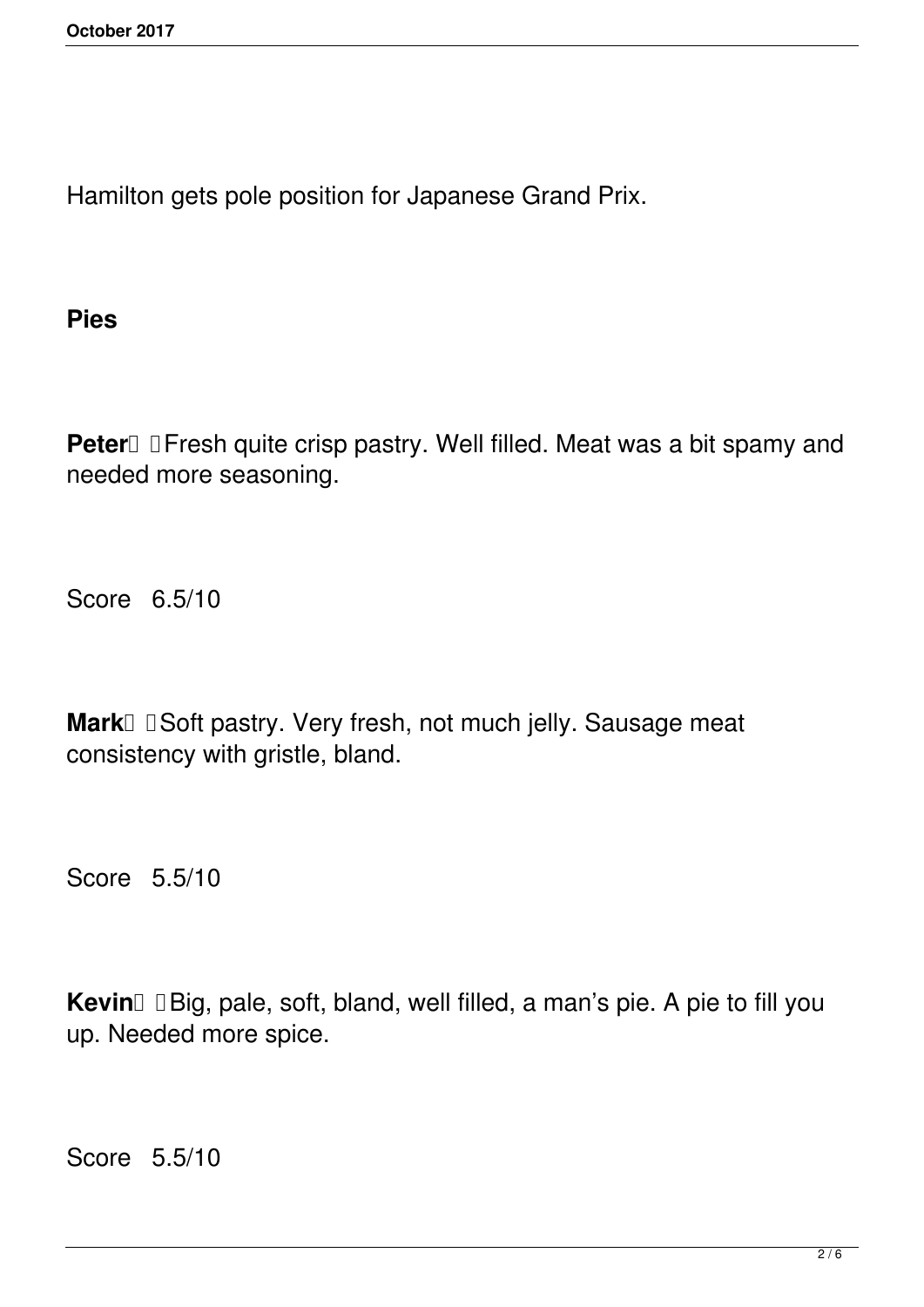Hamilton gets pole position for Japanese Grand Prix.

**Pies**

**Peter I** I Fresh quite crisp pastry. Well filled. Meat was a bit spamy and needed more seasoning.

Score 6.5/10

Mark I Soft pastry. Very fresh, not much jelly. Sausage meat consistency with gristle, bland.

Score 5.5/10

Kevin **Big**, pale, soft, bland, well filled, a man's pie. A pie to fill you up. Needed more spice.

Score 5.5/10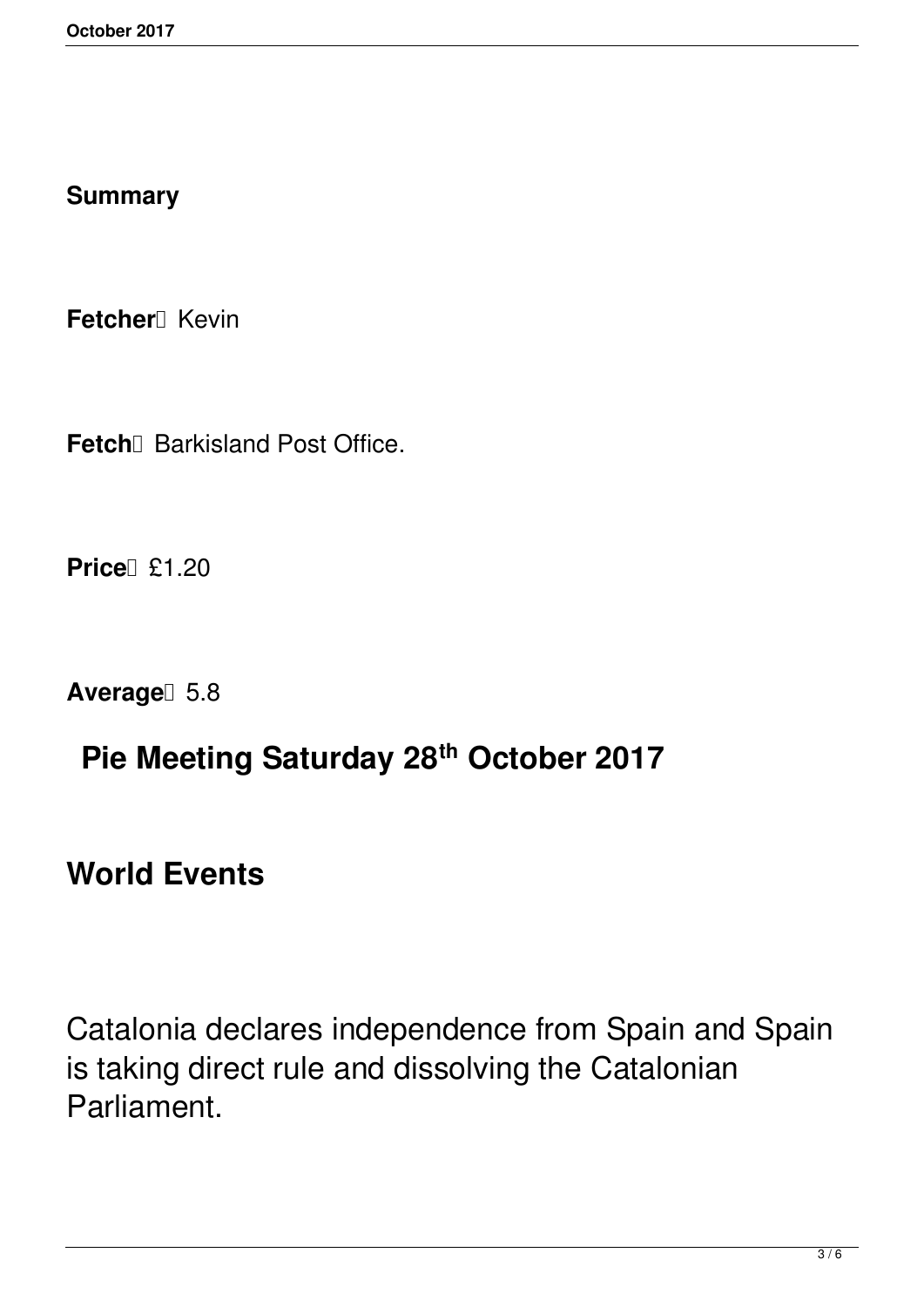#### **Summary**

**Fetcher**<sup>*I*</sup> Kevin

Fetch<sup>[]</sup> Barkisland Post Office.

**Price £1.20** 

Average<sup>[1]</sup> 5.8

# **Pie Meeting Saturday 28th October 2017**

**World Events**

Catalonia declares independence from Spain and Spain is taking direct rule and dissolving the Catalonian Parliament.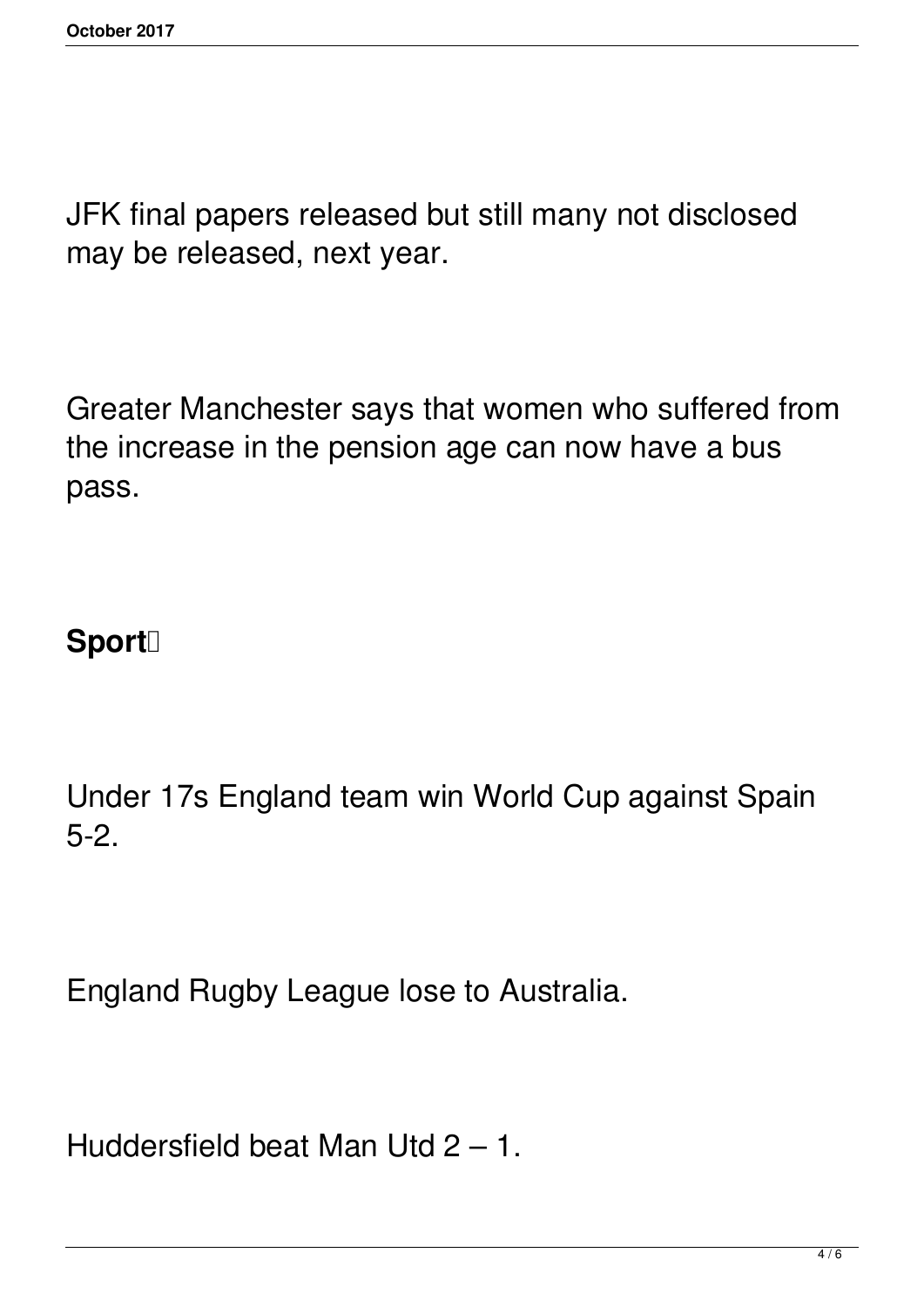JFK final papers released but still many not disclosed may be released, next year.

Greater Manchester says that women who suffered from the increase in the pension age can now have a bus pass.

## Sport<sup>[]</sup>

Under 17s England team win World Cup against Spain 5-2.

England Rugby League lose to Australia.

Huddersfield beat Man Utd 2 – 1.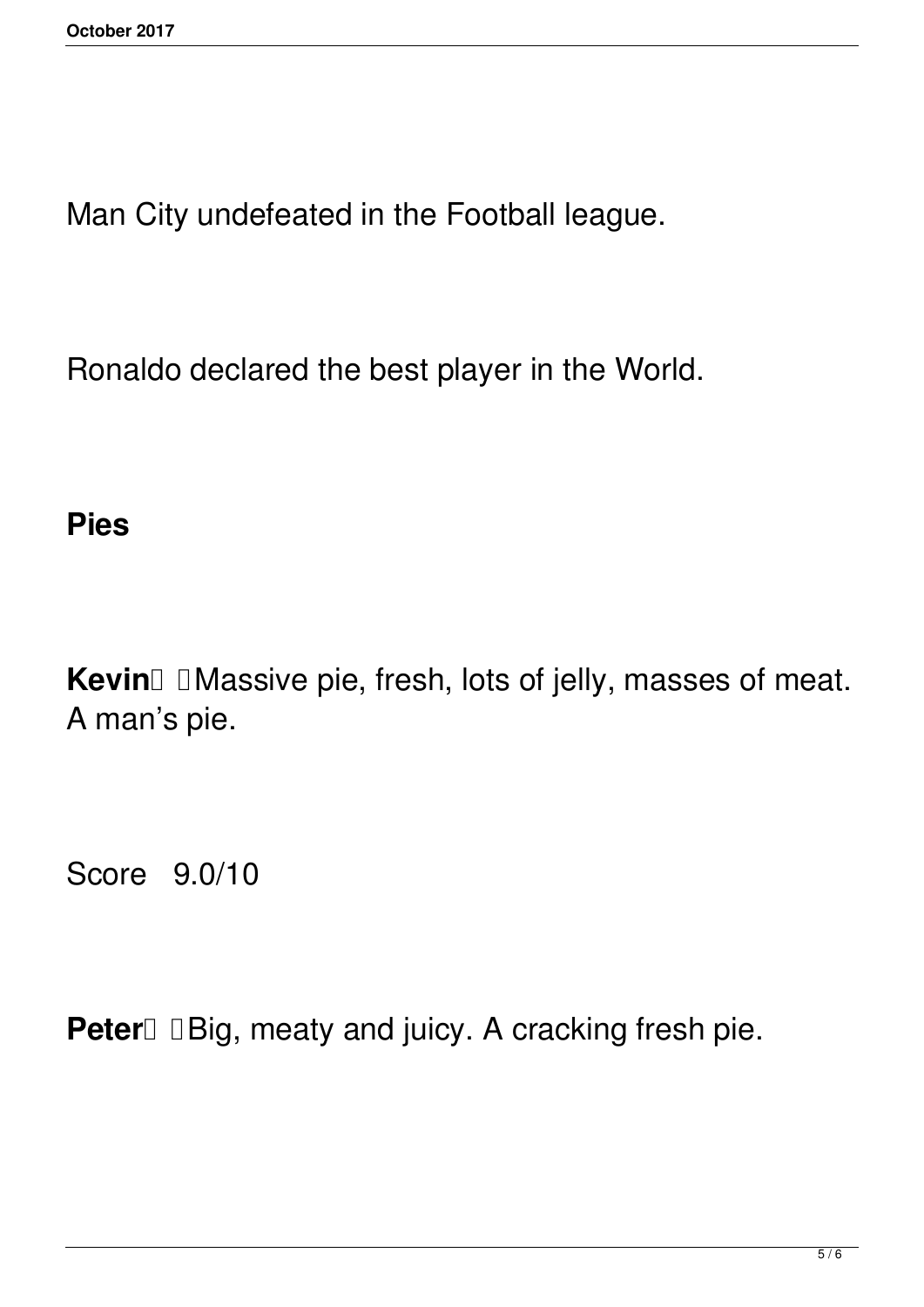Man City undefeated in the Football league.

Ronaldo declared the best player in the World.

### **Pies**

**Kevin** IMassive pie, fresh, lots of jelly, masses of meat. A man's pie.

Score 9.0/10

**Peter Big**, meaty and juicy. A cracking fresh pie.